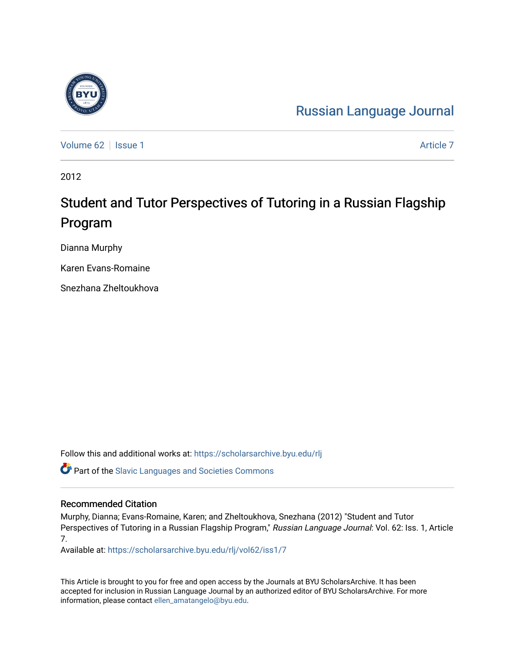# [Russian Language Journal](https://scholarsarchive.byu.edu/rlj)

[Volume 62](https://scholarsarchive.byu.edu/rlj/vol62) | [Issue 1](https://scholarsarchive.byu.edu/rlj/vol62/iss1) [Article 7](https://scholarsarchive.byu.edu/rlj/vol62/iss1/7) Article 7 Article 7 Article 7 Article 7 Article 7 Article 7

2012

# Student and Tutor Perspectives of Tutoring in a Russian Flagship Program

Dianna Murphy

Karen Evans-Romaine

Snezhana Zheltoukhova

Follow this and additional works at: [https://scholarsarchive.byu.edu/rlj](https://scholarsarchive.byu.edu/rlj?utm_source=scholarsarchive.byu.edu%2Frlj%2Fvol62%2Fiss1%2F7&utm_medium=PDF&utm_campaign=PDFCoverPages)

**C** Part of the Slavic Languages and Societies Commons

#### Recommended Citation

Murphy, Dianna; Evans-Romaine, Karen; and Zheltoukhova, Snezhana (2012) "Student and Tutor Perspectives of Tutoring in a Russian Flagship Program," Russian Language Journal: Vol. 62: Iss. 1, Article 7.

Available at: [https://scholarsarchive.byu.edu/rlj/vol62/iss1/7](https://scholarsarchive.byu.edu/rlj/vol62/iss1/7?utm_source=scholarsarchive.byu.edu%2Frlj%2Fvol62%2Fiss1%2F7&utm_medium=PDF&utm_campaign=PDFCoverPages) 

This Article is brought to you for free and open access by the Journals at BYU ScholarsArchive. It has been accepted for inclusion in Russian Language Journal by an authorized editor of BYU ScholarsArchive. For more information, please contact [ellen\\_amatangelo@byu.edu.](mailto:ellen_amatangelo@byu.edu)

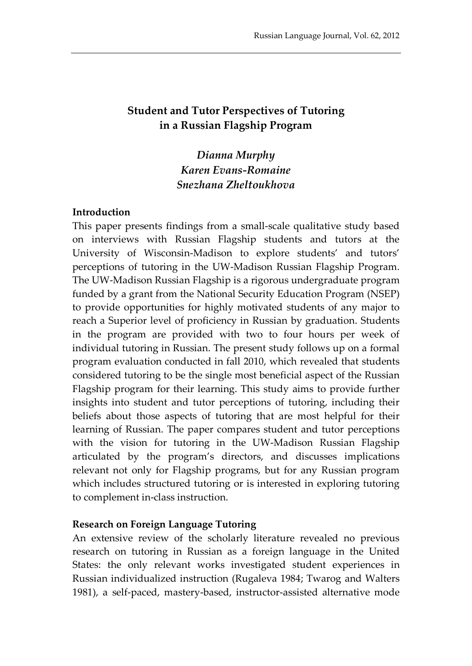# **Student and Tutor Perspectives of Tutoring in a Russian Flagship Program**

# *Dianna Murphy Karen Evans-Romaine Snezhana Zheltoukhova*

#### **Introduction**

This paper presents findings from a small-scale qualitative study based on interviews with Russian Flagship students and tutors at the University of Wisconsin-Madison to explore students' and tutors' perceptions of tutoring in the UW-Madison Russian Flagship Program. The UW-Madison Russian Flagship is a rigorous undergraduate program funded by a grant from the National Security Education Program (NSEP) to provide opportunities for highly motivated students of any major to reach a Superior level of proficiency in Russian by graduation. Students in the program are provided with two to four hours per week of individual tutoring in Russian. The present study follows up on a formal program evaluation conducted in fall 2010, which revealed that students considered tutoring to be the single most beneficial aspect of the Russian Flagship program for their learning. This study aims to provide further insights into student and tutor perceptions of tutoring, including their beliefs about those aspects of tutoring that are most helpful for their learning of Russian. The paper compares student and tutor perceptions with the vision for tutoring in the UW-Madison Russian Flagship articulated by the program's directors, and discusses implications relevant not only for Flagship programs, but for any Russian program which includes structured tutoring or is interested in exploring tutoring to complement in-class instruction.

#### **Research on Foreign Language Tutoring**

An extensive review of the scholarly literature revealed no previous research on tutoring in Russian as a foreign language in the United States: the only relevant works investigated student experiences in Russian individualized instruction (Rugaleva 1984; Twarog and Walters 1981), a self-paced, mastery-based, instructor-assisted alternative mode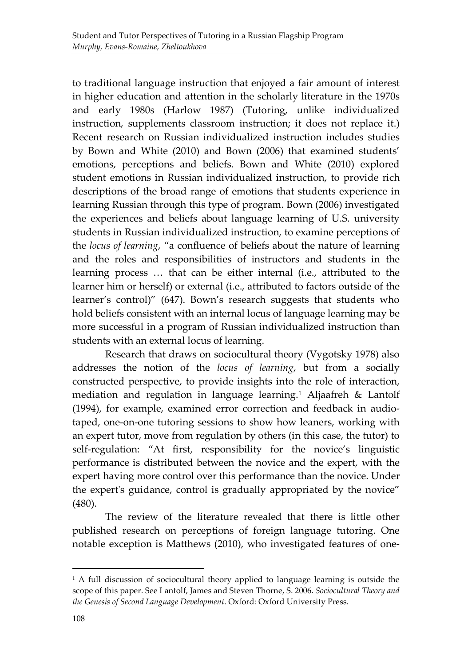to traditional language instruction that enjoyed a fair amount of interest in higher education and attention in the scholarly literature in the 1970s and early 1980s (Harlow 1987) (Tutoring, unlike individualized instruction, supplements classroom instruction; it does not replace it.) Recent research on Russian individualized instruction includes studies by Bown and White (2010) and Bown (2006) that examined students' emotions, perceptions and beliefs. Bown and White (2010) explored student emotions in Russian individualized instruction, to provide rich descriptions of the broad range of emotions that students experience in learning Russian through this type of program. Bown (2006) investigated the experiences and beliefs about language learning of U.S. university students in Russian individualized instruction, to examine perceptions of the *locus of learning*, "a confluence of beliefs about the nature of learning and the roles and responsibilities of instructors and students in the learning process … that can be either internal (i.e., attributed to the learner him or herself) or external (i.e., attributed to factors outside of the learner's control)" (647). Bown's research suggests that students who hold beliefs consistent with an internal locus of language learning may be more successful in a program of Russian individualized instruction than students with an external locus of learning.

Research that draws on sociocultural theory (Vygotsky 1978) also addresses the notion of the *locus of learning*, but from a socially constructed perspective, to provide insights into the role of interaction, mediation and regulation in language learning.[1](#page-2-0) Aljaafreh & Lantolf (1994), for example, examined error correction and feedback in audiotaped, one-on-one tutoring sessions to show how leaners, working with an expert tutor, move from regulation by others (in this case, the tutor) to self-regulation: "At first, responsibility for the novice's linguistic performance is distributed between the novice and the expert, with the expert having more control over this performance than the novice. Under the expert's guidance, control is gradually appropriated by the novice" (480).

The review of the literature revealed that there is little other published research on perceptions of foreign language tutoring. One notable exception is Matthews (2010), who investigated features of one-

-

<span id="page-2-0"></span><sup>&</sup>lt;sup>1</sup> A full discussion of sociocultural theory applied to language learning is outside the scope of this paper. See Lantolf, James and Steven Thorne, S. 2006. *Sociocultural Theory and the Genesis of Second Language Development*. Oxford: Oxford University Press.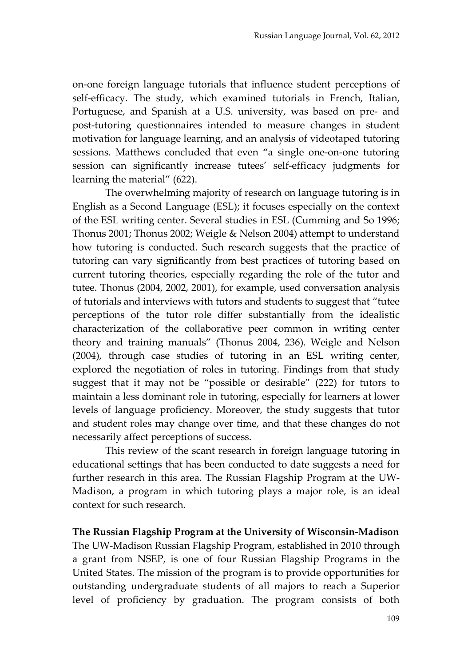on-one foreign language tutorials that influence student perceptions of self-efficacy. The study, which examined tutorials in French, Italian, Portuguese, and Spanish at a U.S. university, was based on pre- and post-tutoring questionnaires intended to measure changes in student motivation for language learning, and an analysis of videotaped tutoring sessions. Matthews concluded that even "a single one-on-one tutoring session can significantly increase tutees' self-efficacy judgments for learning the material" (622).

The overwhelming majority of research on language tutoring is in English as a Second Language (ESL); it focuses especially on the context of the ESL writing center. Several studies in ESL (Cumming and So 1996; Thonus 2001; Thonus 2002; Weigle & Nelson 2004) attempt to understand how tutoring is conducted. Such research suggests that the practice of tutoring can vary significantly from best practices of tutoring based on current tutoring theories, especially regarding the role of the tutor and tutee. Thonus (2004, 2002, 2001), for example, used conversation analysis of tutorials and interviews with tutors and students to suggest that "tutee perceptions of the tutor role differ substantially from the idealistic characterization of the collaborative peer common in writing center theory and training manuals" (Thonus 2004, 236). Weigle and Nelson (2004), through case studies of tutoring in an ESL writing center, explored the negotiation of roles in tutoring. Findings from that study suggest that it may not be "possible or desirable" (222) for tutors to maintain a less dominant role in tutoring, especially for learners at lower levels of language proficiency. Moreover, the study suggests that tutor and student roles may change over time, and that these changes do not necessarily affect perceptions of success.

This review of the scant research in foreign language tutoring in educational settings that has been conducted to date suggests a need for further research in this area. The Russian Flagship Program at the UW-Madison, a program in which tutoring plays a major role, is an ideal context for such research.

#### **The Russian Flagship Program at the University of Wisconsin-Madison**

The UW-Madison Russian Flagship Program, established in 2010 through a grant from NSEP, is one of four Russian Flagship Programs in the United States. The mission of the program is to provide opportunities for outstanding undergraduate students of all majors to reach a Superior level of proficiency by graduation. The program consists of both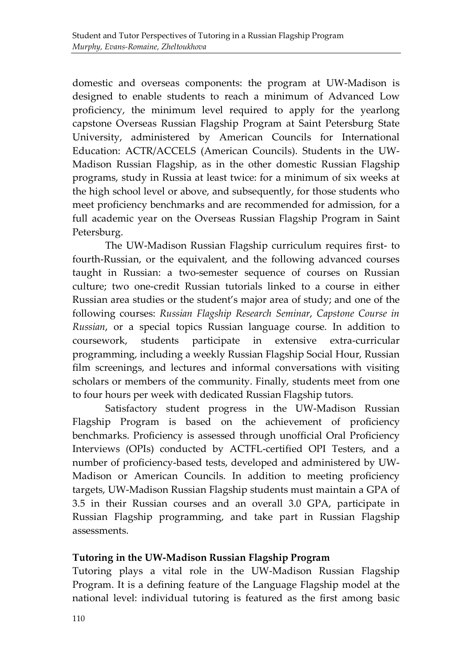domestic and overseas components: the program at UW-Madison is designed to enable students to reach a minimum of Advanced Low proficiency, the minimum level required to apply for the yearlong capstone Overseas Russian Flagship Program at Saint Petersburg State University, administered by American Councils for International Education: ACTR/ACCELS (American Councils). Students in the UW-Madison Russian Flagship, as in the other domestic Russian Flagship programs, study in Russia at least twice: for a minimum of six weeks at the high school level or above, and subsequently, for those students who meet proficiency benchmarks and are recommended for admission, for a full academic year on the Overseas Russian Flagship Program in Saint Petersburg.

The UW-Madison Russian Flagship curriculum requires first- to fourth-Russian, or the equivalent, and the following advanced courses taught in Russian: a two-semester sequence of courses on Russian culture; two one-credit Russian tutorials linked to a course in either Russian area studies or the student's major area of study; and one of the following courses: *Russian Flagship Research Seminar*, *Capstone Course in Russian*, or a special topics Russian language course. In addition to coursework, students participate in extensive extra-curricular programming, including a weekly Russian Flagship Social Hour, Russian film screenings, and lectures and informal conversations with visiting scholars or members of the community. Finally, students meet from one to four hours per week with dedicated Russian Flagship tutors.

Satisfactory student progress in the UW-Madison Russian Flagship Program is based on the achievement of proficiency benchmarks. Proficiency is assessed through unofficial Oral Proficiency Interviews (OPIs) conducted by ACTFL-certified OPI Testers, and a number of proficiency-based tests, developed and administered by UW-Madison or American Councils. In addition to meeting proficiency targets, UW-Madison Russian Flagship students must maintain a GPA of 3.5 in their Russian courses and an overall 3.0 GPA, participate in Russian Flagship programming, and take part in Russian Flagship assessments.

## **Tutoring in the UW-Madison Russian Flagship Program**

Tutoring plays a vital role in the UW-Madison Russian Flagship Program. It is a defining feature of the Language Flagship model at the national level: individual tutoring is featured as the first among basic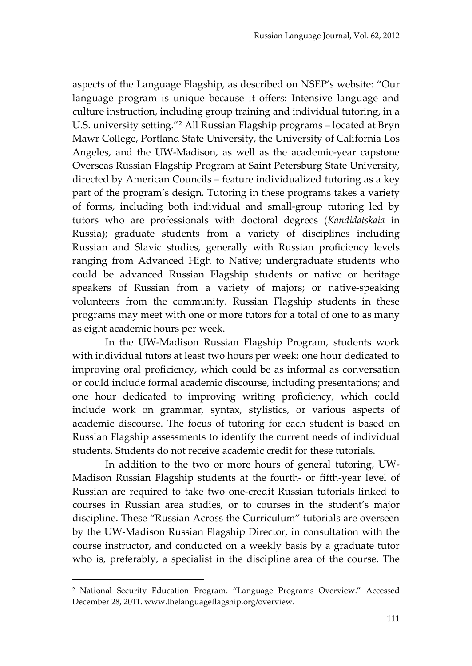aspects of the Language Flagship, as described on NSEP's website: "Our language program is unique because it offers: Intensive language and culture instruction, including group training and individual tutoring, in a U.S. university setting."[2](#page-5-0) All Russian Flagship programs – located at Bryn Mawr College, Portland State University, the University of California Los Angeles, and the UW-Madison, as well as the academic-year capstone Overseas Russian Flagship Program at Saint Petersburg State University, directed by American Councils – feature individualized tutoring as a key part of the program's design. Tutoring in these programs takes a variety of forms, including both individual and small-group tutoring led by tutors who are professionals with doctoral degrees (*Kandidatskaia* in Russia); graduate students from a variety of disciplines including Russian and Slavic studies, generally with Russian proficiency levels ranging from Advanced High to Native; undergraduate students who could be advanced Russian Flagship students or native or heritage speakers of Russian from a variety of majors; or native-speaking volunteers from the community. Russian Flagship students in these programs may meet with one or more tutors for a total of one to as many as eight academic hours per week.

In the UW-Madison Russian Flagship Program, students work with individual tutors at least two hours per week: one hour dedicated to improving oral proficiency, which could be as informal as conversation or could include formal academic discourse, including presentations; and one hour dedicated to improving writing proficiency, which could include work on grammar, syntax, stylistics, or various aspects of academic discourse. The focus of tutoring for each student is based on Russian Flagship assessments to identify the current needs of individual students. Students do not receive academic credit for these tutorials.

In addition to the two or more hours of general tutoring, UW-Madison Russian Flagship students at the fourth- or fifth-year level of Russian are required to take two one-credit Russian tutorials linked to courses in Russian area studies, or to courses in the student's major discipline. These "Russian Across the Curriculum" tutorials are overseen by the UW-Madison Russian Flagship Director, in consultation with the course instructor, and conducted on a weekly basis by a graduate tutor who is, preferably, a specialist in the discipline area of the course. The

-

<span id="page-5-0"></span><sup>2</sup> National Security Education Program. "Language Programs Overview." Accessed December 28, 2011. www.thelanguageflagship.org/overview.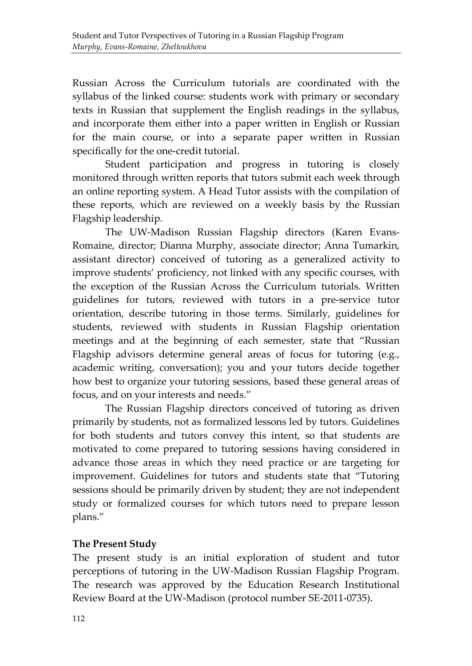Russian Across the Curriculum tutorials are coordinated with the syllabus of the linked course: students work with primary or secondary texts in Russian that supplement the English readings in the syllabus, and incorporate them either into a paper written in English or Russian for the main course, or into a separate paper written in Russian specifically for the one-credit tutorial.

Student participation and progress in tutoring is closely monitored through written reports that tutors submit each week through an online reporting system. A Head Tutor assists with the compilation of these reports, which are reviewed on a weekly basis by the Russian Flagship leadership.

The UW-Madison Russian Flagship directors (Karen Evans-Romaine, director; Dianna Murphy, associate director; Anna Tumarkin, assistant director) conceived of tutoring as a generalized activity to improve students' proficiency, not linked with any specific courses, with the exception of the Russian Across the Curriculum tutorials. Written guidelines for tutors, reviewed with tutors in a pre-service tutor orientation, describe tutoring in those terms. Similarly, guidelines for students, reviewed with students in Russian Flagship orientation meetings and at the beginning of each semester, state that "Russian Flagship advisors determine general areas of focus for tutoring (e.g., academic writing, conversation); you and your tutors decide together how best to organize your tutoring sessions, based these general areas of focus, and on your interests and needs."

The Russian Flagship directors conceived of tutoring as driven primarily by students, not as formalized lessons led by tutors. Guidelines for both students and tutors convey this intent, so that students are motivated to come prepared to tutoring sessions having considered in advance those areas in which they need practice or are targeting for improvement. Guidelines for tutors and students state that "Tutoring sessions should be primarily driven by student; they are not independent study or formalized courses for which tutors need to prepare lesson plans."

## **The Present Study**

The present study is an initial exploration of student and tutor perceptions of tutoring in the UW-Madison Russian Flagship Program. The research was approved by the Education Research Institutional Review Board at the UW-Madison (protocol number SE-2011-0735).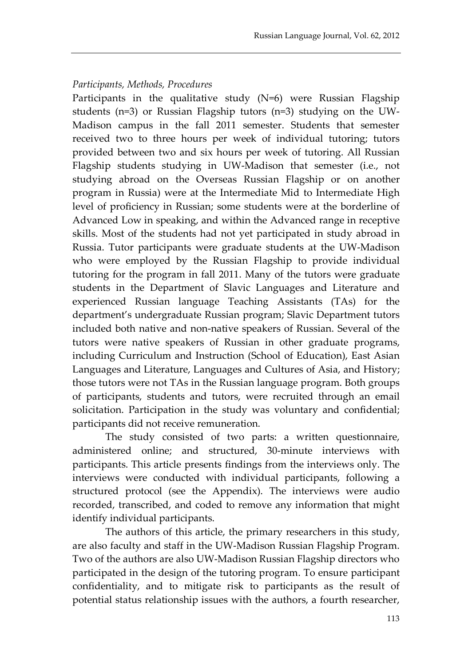#### *Participants, Methods, Procedures*

Participants in the qualitative study (N=6) were Russian Flagship students (n=3) or Russian Flagship tutors (n=3) studying on the UW-Madison campus in the fall 2011 semester. Students that semester received two to three hours per week of individual tutoring; tutors provided between two and six hours per week of tutoring. All Russian Flagship students studying in UW-Madison that semester (i.e., not studying abroad on the Overseas Russian Flagship or on another program in Russia) were at the Intermediate Mid to Intermediate High level of proficiency in Russian; some students were at the borderline of Advanced Low in speaking, and within the Advanced range in receptive skills. Most of the students had not yet participated in study abroad in Russia. Tutor participants were graduate students at the UW-Madison who were employed by the Russian Flagship to provide individual tutoring for the program in fall 2011. Many of the tutors were graduate students in the Department of Slavic Languages and Literature and experienced Russian language Teaching Assistants (TAs) for the department's undergraduate Russian program; Slavic Department tutors included both native and non-native speakers of Russian. Several of the tutors were native speakers of Russian in other graduate programs, including Curriculum and Instruction (School of Education), East Asian Languages and Literature, Languages and Cultures of Asia, and History; those tutors were not TAs in the Russian language program. Both groups of participants, students and tutors, were recruited through an email solicitation. Participation in the study was voluntary and confidential; participants did not receive remuneration.

The study consisted of two parts: a written questionnaire, administered online; and structured, 30-minute interviews with participants. This article presents findings from the interviews only. The interviews were conducted with individual participants, following a structured protocol (see the Appendix). The interviews were audio recorded, transcribed, and coded to remove any information that might identify individual participants.

The authors of this article, the primary researchers in this study, are also faculty and staff in the UW-Madison Russian Flagship Program. Two of the authors are also UW-Madison Russian Flagship directors who participated in the design of the tutoring program. To ensure participant confidentiality, and to mitigate risk to participants as the result of potential status relationship issues with the authors, a fourth researcher,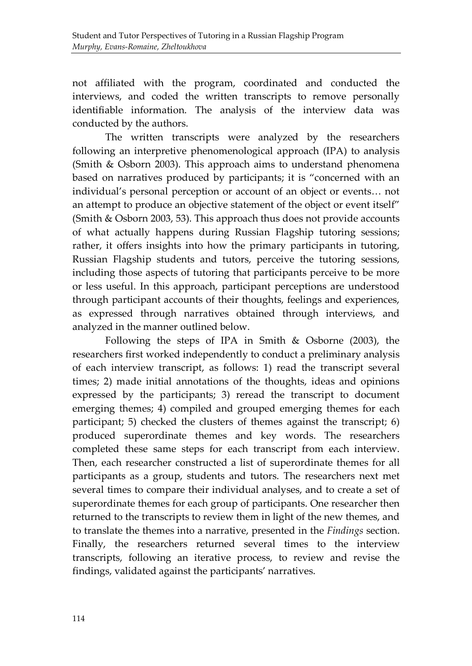not affiliated with the program, coordinated and conducted the interviews, and coded the written transcripts to remove personally identifiable information. The analysis of the interview data was conducted by the authors.

The written transcripts were analyzed by the researchers following an interpretive phenomenological approach (IPA) to analysis (Smith & Osborn 2003). This approach aims to understand phenomena based on narratives produced by participants; it is "concerned with an individual's personal perception or account of an object or events… not an attempt to produce an objective statement of the object or event itself" (Smith & Osborn 2003, 53). This approach thus does not provide accounts of what actually happens during Russian Flagship tutoring sessions; rather, it offers insights into how the primary participants in tutoring, Russian Flagship students and tutors, perceive the tutoring sessions, including those aspects of tutoring that participants perceive to be more or less useful. In this approach, participant perceptions are understood through participant accounts of their thoughts, feelings and experiences, as expressed through narratives obtained through interviews, and analyzed in the manner outlined below.

Following the steps of IPA in Smith & Osborne (2003), the researchers first worked independently to conduct a preliminary analysis of each interview transcript, as follows: 1) read the transcript several times; 2) made initial annotations of the thoughts, ideas and opinions expressed by the participants; 3) reread the transcript to document emerging themes; 4) compiled and grouped emerging themes for each participant; 5) checked the clusters of themes against the transcript; 6) produced superordinate themes and key words. The researchers completed these same steps for each transcript from each interview. Then, each researcher constructed a list of superordinate themes for all participants as a group, students and tutors. The researchers next met several times to compare their individual analyses, and to create a set of superordinate themes for each group of participants. One researcher then returned to the transcripts to review them in light of the new themes, and to translate the themes into a narrative, presented in the *Findings* section. Finally, the researchers returned several times to the interview transcripts, following an iterative process, to review and revise the findings, validated against the participants' narratives.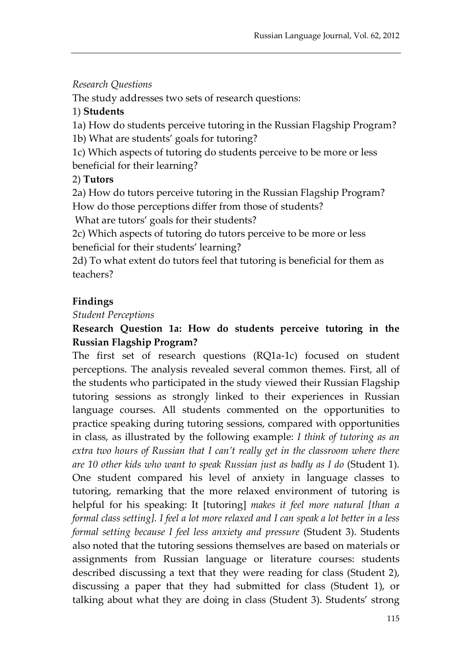## *Research Questions*

The study addresses two sets of research questions:

## 1) **Students**

1a) How do students perceive tutoring in the Russian Flagship Program? 1b) What are students' goals for tutoring?

1c) Which aspects of tutoring do students perceive to be more or less beneficial for their learning?

## 2) **Tutors**

2a) How do tutors perceive tutoring in the Russian Flagship Program? How do those perceptions differ from those of students?

What are tutors' goals for their students?

2c) Which aspects of tutoring do tutors perceive to be more or less beneficial for their students' learning?

2d) To what extent do tutors feel that tutoring is beneficial for them as teachers?

## **Findings**

#### *Student Perceptions*

# **Research Question 1a: How do students perceive tutoring in the Russian Flagship Program?**

The first set of research questions (RQ1a-1c) focused on student perceptions. The analysis revealed several common themes. First, all of the students who participated in the study viewed their Russian Flagship tutoring sessions as strongly linked to their experiences in Russian language courses. All students commented on the opportunities to practice speaking during tutoring sessions, compared with opportunities in class, as illustrated by the following example: *I think of tutoring as an*  extra two hours of Russian that I can't really get in the classroom where there *are 10 other kids who want to speak Russian just as badly as I do* (Student 1). One student compared his level of anxiety in language classes to tutoring, remarking that the more relaxed environment of tutoring is helpful for his speaking: It [tutoring] *makes it feel more natural [than a formal class setting]. I feel a lot more relaxed and I can speak a lot better in a less formal setting because I feel less anxiety and pressure* (Student 3). Students also noted that the tutoring sessions themselves are based on materials or assignments from Russian language or literature courses: students described discussing a text that they were reading for class (Student 2), discussing a paper that they had submitted for class (Student 1), or talking about what they are doing in class (Student 3). Students' strong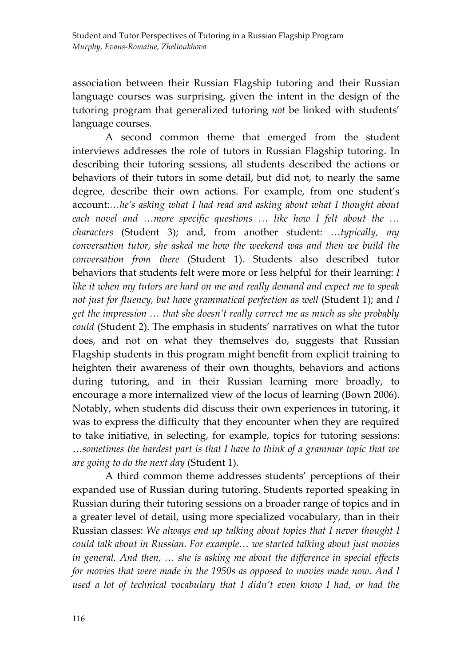association between their Russian Flagship tutoring and their Russian language courses was surprising, given the intent in the design of the tutoring program that generalized tutoring *not* be linked with students' language courses.

A second common theme that emerged from the student interviews addresses the role of tutors in Russian Flagship tutoring. In describing their tutoring sessions, all students described the actions or behaviors of their tutors in some detail, but did not, to nearly the same degree, describe their own actions. For example, from one student's account:*…he's asking what I had read and asking about what I thought about each novel and …more specific questions … like how I felt about the … characters* (Student 3); and, from another student: …*typically, my conversation tutor, she asked me how the weekend was and then we build the conversation from there* (Student 1). Students also described tutor behaviors that students felt were more or less helpful for their learning: *I like it when my tutors are hard on me and really demand and expect me to speak not just for fluency, but have grammatical perfection as well* (Student 1); and *I get the impression … that she doesn't really correct me as much as she probably could* (Student 2). The emphasis in students' narratives on what the tutor does, and not on what they themselves do, suggests that Russian Flagship students in this program might benefit from explicit training to heighten their awareness of their own thoughts, behaviors and actions during tutoring, and in their Russian learning more broadly, to encourage a more internalized view of the locus of learning (Bown 2006). Notably, when students did discuss their own experiences in tutoring, it was to express the difficulty that they encounter when they are required to take initiative, in selecting, for example, topics for tutoring sessions: …*sometimes the hardest part is that I have to think of a grammar topic that we are going to do the next day* (Student 1).

A third common theme addresses students' perceptions of their expanded use of Russian during tutoring. Students reported speaking in Russian during their tutoring sessions on a broader range of topics and in a greater level of detail, using more specialized vocabulary, than in their Russian classes: *We always end up talking about topics that I never thought I could talk about in Russian. For example… we started talking about just movies in general. And then, … she is asking me about the difference in special effects for movies that were made in the 1950s as opposed to movies made now. And I*  used a lot of technical vocabulary that I didn't even know I had, or had the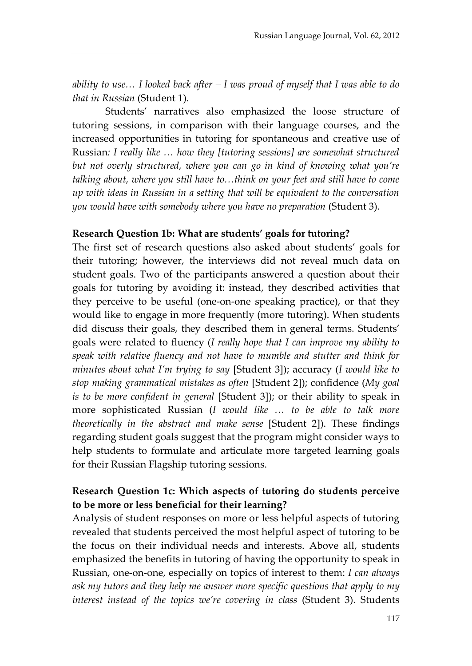*ability to use… I looked back after – I was proud of myself that I was able to do that in Russian* (Student 1).

Students' narratives also emphasized the loose structure of tutoring sessions, in comparison with their language courses, and the increased opportunities in tutoring for spontaneous and creative use of Russian*: I really like … how they [tutoring sessions] are somewhat structured but not overly structured, where you can go in kind of knowing what you're talking about, where you still have to…think on your feet and still have to come up with ideas in Russian in a setting that will be equivalent to the conversation you would have with somebody where you have no preparation* (Student 3).

#### **Research Question 1b: What are students' goals for tutoring?**

The first set of research questions also asked about students' goals for their tutoring; however, the interviews did not reveal much data on student goals. Two of the participants answered a question about their goals for tutoring by avoiding it: instead, they described activities that they perceive to be useful (one-on-one speaking practice), or that they would like to engage in more frequently (more tutoring). When students did discuss their goals, they described them in general terms. Students' goals were related to fluency (*I really hope that I can improve my ability to speak with relative fluency and not have to mumble and stutter and think for minutes about what I'm trying to say* [Student 3]); accuracy (*I would like to stop making grammatical mistakes as often* [Student 2]); confidence (*My goal is to be more confident in general* [Student 3]); or their ability to speak in more sophisticated Russian (*I would like … to be able to talk more theoretically in the abstract and make sense* [Student 2]). These findings regarding student goals suggest that the program might consider ways to help students to formulate and articulate more targeted learning goals for their Russian Flagship tutoring sessions.

#### **Research Question 1c: Which aspects of tutoring do students perceive to be more or less beneficial for their learning?**

Analysis of student responses on more or less helpful aspects of tutoring revealed that students perceived the most helpful aspect of tutoring to be the focus on their individual needs and interests. Above all, students emphasized the benefits in tutoring of having the opportunity to speak in Russian, one-on-one, especially on topics of interest to them: *I can always ask my tutors and they help me answer more specific questions that apply to my interest instead of the topics we're covering in class* (Student 3). Students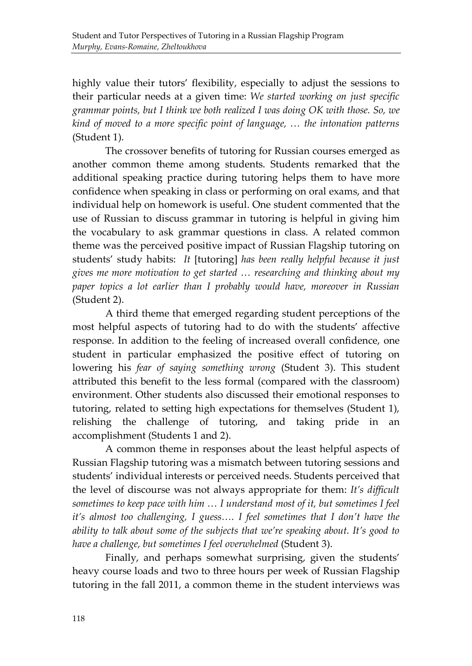highly value their tutors' flexibility, especially to adjust the sessions to their particular needs at a given time: *We started working on just specific grammar points, but I think we both realized I was doing OK with those. So, we kind of moved to a more specific point of language, … the intonation patterns* (Student 1).

The crossover benefits of tutoring for Russian courses emerged as another common theme among students. Students remarked that the additional speaking practice during tutoring helps them to have more confidence when speaking in class or performing on oral exams, and that individual help on homework is useful. One student commented that the use of Russian to discuss grammar in tutoring is helpful in giving him the vocabulary to ask grammar questions in class. A related common theme was the perceived positive impact of Russian Flagship tutoring on students' study habits: *It* [tutoring] *has been really helpful because it just gives me more motivation to get started … researching and thinking about my paper topics a lot earlier than I probably would have, moreover in Russian* (Student 2).

A third theme that emerged regarding student perceptions of the most helpful aspects of tutoring had to do with the students' affective response. In addition to the feeling of increased overall confidence, one student in particular emphasized the positive effect of tutoring on lowering his *fear of saying something wrong* (Student 3). This student attributed this benefit to the less formal (compared with the classroom) environment. Other students also discussed their emotional responses to tutoring, related to setting high expectations for themselves (Student 1), relishing the challenge of tutoring, and taking pride in an accomplishment (Students 1 and 2).

A common theme in responses about the least helpful aspects of Russian Flagship tutoring was a mismatch between tutoring sessions and students' individual interests or perceived needs. Students perceived that the level of discourse was not always appropriate for them: *It's difficult sometimes to keep pace with him … I understand most of it, but sometimes I feel it's almost too challenging, I guess…. I feel sometimes that I don't have the ability to talk about some of the subjects that we're speaking about. It's good to have a challenge, but sometimes I feel overwhelmed* (Student 3).

Finally, and perhaps somewhat surprising, given the students' heavy course loads and two to three hours per week of Russian Flagship tutoring in the fall 2011, a common theme in the student interviews was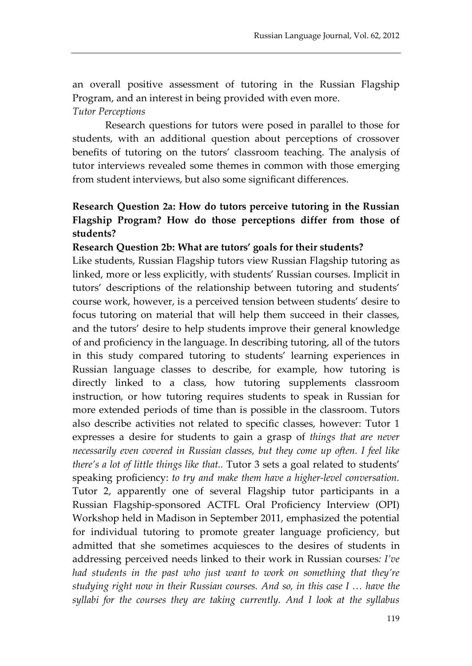an overall positive assessment of tutoring in the Russian Flagship Program, and an interest in being provided with even more. *Tutor Perceptions*

Research questions for tutors were posed in parallel to those for students, with an additional question about perceptions of crossover benefits of tutoring on the tutors' classroom teaching. The analysis of tutor interviews revealed some themes in common with those emerging from student interviews, but also some significant differences.

# **Research Question 2a: How do tutors perceive tutoring in the Russian Flagship Program? How do those perceptions differ from those of students?**

#### **Research Question 2b: What are tutors' goals for their students?**

Like students, Russian Flagship tutors view Russian Flagship tutoring as linked, more or less explicitly, with students' Russian courses. Implicit in tutors' descriptions of the relationship between tutoring and students' course work, however, is a perceived tension between students' desire to focus tutoring on material that will help them succeed in their classes, and the tutors' desire to help students improve their general knowledge of and proficiency in the language. In describing tutoring, all of the tutors in this study compared tutoring to students' learning experiences in Russian language classes to describe, for example, how tutoring is directly linked to a class, how tutoring supplements classroom instruction, or how tutoring requires students to speak in Russian for more extended periods of time than is possible in the classroom. Tutors also describe activities not related to specific classes, however: Tutor 1 expresses a desire for students to gain a grasp of *things that are never necessarily even covered in Russian classes, but they come up often. I feel like there's a lot of little things like that..* Tutor 3 sets a goal related to students' speaking proficiency: *to try and make them have a higher-level conversation.*  Tutor 2, apparently one of several Flagship tutor participants in a Russian Flagship-sponsored ACTFL Oral Proficiency Interview (OPI) Workshop held in Madison in September 2011, emphasized the potential for individual tutoring to promote greater language proficiency, but admitted that she sometimes acquiesces to the desires of students in addressing perceived needs linked to their work in Russian courses*: I've had students in the past who just want to work on something that they're studying right now in their Russian courses. And so, in this case I … have the syllabi for the courses they are taking currently. And I look at the syllabus*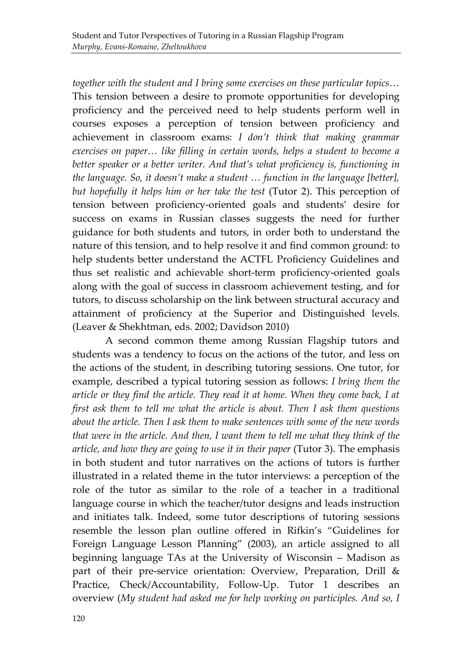*together with the student and I bring some exercises on these particular topics*… This tension between a desire to promote opportunities for developing proficiency and the perceived need to help students perform well in courses exposes a perception of tension between proficiency and achievement in classroom exams: *I don't think that making grammar exercises on paper… like filling in certain words, helps a student to become a*  better speaker or a better writer. And that's what proficiency is, functioning in *the language. So, it doesn't make a student … function in the language [better], but hopefully it helps him or her take the test* (Tutor 2). This perception of tension between proficiency-oriented goals and students' desire for success on exams in Russian classes suggests the need for further guidance for both students and tutors, in order both to understand the nature of this tension, and to help resolve it and find common ground: to help students better understand the ACTFL Proficiency Guidelines and thus set realistic and achievable short-term proficiency-oriented goals along with the goal of success in classroom achievement testing, and for tutors, to discuss scholarship on the link between structural accuracy and attainment of proficiency at the Superior and Distinguished levels. (Leaver & Shekhtman, eds. 2002; Davidson 2010)

A second common theme among Russian Flagship tutors and students was a tendency to focus on the actions of the tutor, and less on the actions of the student, in describing tutoring sessions. One tutor, for example, described a typical tutoring session as follows: *I bring them the article or they find the article. They read it at home. When they come back, I at first ask them to tell me what the article is about. Then I ask them questions about the article. Then I ask them to make sentences with some of the new words that were in the article. And then, I want them to tell me what they think of the article, and how they are going to use it in their paper* (Tutor 3). The emphasis in both student and tutor narratives on the actions of tutors is further illustrated in a related theme in the tutor interviews: a perception of the role of the tutor as similar to the role of a teacher in a traditional language course in which the teacher/tutor designs and leads instruction and initiates talk. Indeed, some tutor descriptions of tutoring sessions resemble the lesson plan outline offered in Rifkin's "Guidelines for Foreign Language Lesson Planning" (2003), an article assigned to all beginning language TAs at the University of Wisconsin – Madison as part of their pre-service orientation: Overview, Preparation, Drill & Practice, Check/Accountability, Follow-Up. Tutor 1 describes an overview (*My student had asked me for help working on participles. And so, I*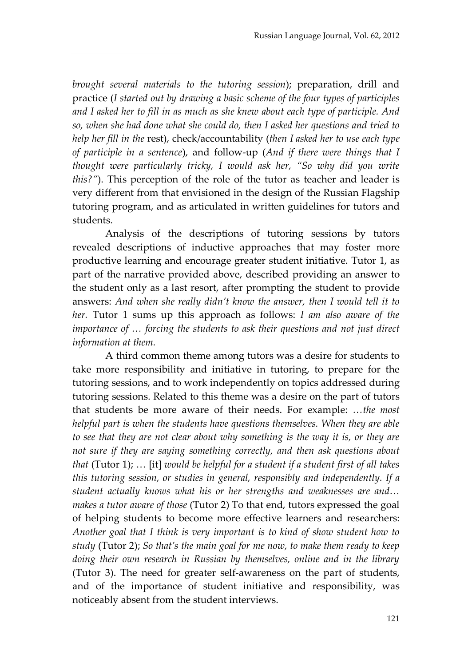*brought several materials to the tutoring session*); preparation, drill and practice (*I started out by drawing a basic scheme of the four types of participles and I asked her to fill in as much as she knew about each type of participle. And so, when she had done what she could do, then I asked her questions and tried to help her fill in the* rest), check/accountability (*then I asked her to use each type of participle in a sentence*), and follow-up (*And if there were things that I thought were particularly tricky, I would ask her, "So why did you write this?"*). This perception of the role of the tutor as teacher and leader is very different from that envisioned in the design of the Russian Flagship tutoring program, and as articulated in written guidelines for tutors and students.

Analysis of the descriptions of tutoring sessions by tutors revealed descriptions of inductive approaches that may foster more productive learning and encourage greater student initiative. Tutor 1, as part of the narrative provided above, described providing an answer to the student only as a last resort, after prompting the student to provide answers: *And when she really didn't know the answer, then I would tell it to her.* Tutor 1 sums up this approach as follows: *I am also aware of the importance of … forcing the students to ask their questions and not just direct information at them.*

A third common theme among tutors was a desire for students to take more responsibility and initiative in tutoring, to prepare for the tutoring sessions, and to work independently on topics addressed during tutoring sessions. Related to this theme was a desire on the part of tutors that students be more aware of their needs. For example: *…the most helpful part is when the students have questions themselves. When they are able to see that they are not clear about why something is the way it is, or they are not sure if they are saying something correctly, and then ask questions about that* (Tutor 1); … [it] *would be helpful for a student if a student first of all takes this tutoring session, or studies in general, responsibly and independently. If a student actually knows what his or her strengths and weaknesses are and… makes a tutor aware of those* (Tutor 2) To that end, tutors expressed the goal of helping students to become more effective learners and researchers: *Another goal that I think is very important is to kind of show student how to study* (Tutor 2); *So that's the main goal for me now, to make them ready to keep doing their own research in Russian by themselves, online and in the library* (Tutor 3). The need for greater self-awareness on the part of students, and of the importance of student initiative and responsibility, was noticeably absent from the student interviews.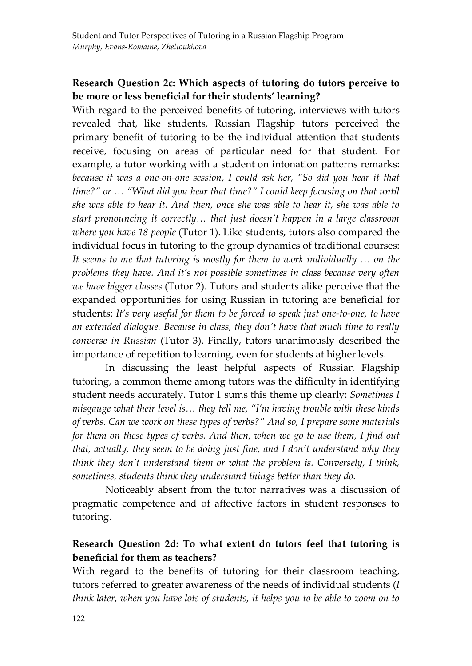## **Research Question 2c: Which aspects of tutoring do tutors perceive to be more or less beneficial for their students' learning?**

With regard to the perceived benefits of tutoring, interviews with tutors revealed that, like students, Russian Flagship tutors perceived the primary benefit of tutoring to be the individual attention that students receive, focusing on areas of particular need for that student. For example, a tutor working with a student on intonation patterns remarks: because it was a one-on-one session, I could ask her, "So did you hear it that *time?" or … "What did you hear that time?" I could keep focusing on that until she was able to hear it. And then, once she was able to hear it, she was able to start pronouncing it correctly… that just doesn't happen in a large classroom where you have 18 people* (Tutor 1). Like students, tutors also compared the individual focus in tutoring to the group dynamics of traditional courses: *It seems to me that tutoring is mostly for them to work individually … on the problems they have. And it's not possible sometimes in class because very often we have bigger classes* (Tutor 2). Tutors and students alike perceive that the expanded opportunities for using Russian in tutoring are beneficial for students: *It's very useful for them to be forced to speak just one-to-one, to have an extended dialogue. Because in class, they don't have that much time to really converse in Russian* (Tutor 3). Finally, tutors unanimously described the importance of repetition to learning, even for students at higher levels.

In discussing the least helpful aspects of Russian Flagship tutoring, a common theme among tutors was the difficulty in identifying student needs accurately. Tutor 1 sums this theme up clearly: *Sometimes I misgauge what their level is… they tell me, "I'm having trouble with these kinds of verbs. Can we work on these types of verbs?" And so, I prepare some materials for them on these types of verbs. And then, when we go to use them, I find out that, actually, they seem to be doing just fine, and I don't understand why they think they don't understand them or what the problem is. Conversely, I think, sometimes, students think they understand things better than they do.*

Noticeably absent from the tutor narratives was a discussion of pragmatic competence and of affective factors in student responses to tutoring.

## **Research Question 2d: To what extent do tutors feel that tutoring is beneficial for them as teachers?**

With regard to the benefits of tutoring for their classroom teaching, tutors referred to greater awareness of the needs of individual students (*I think later, when you have lots of students, it helps you to be able to zoom on to*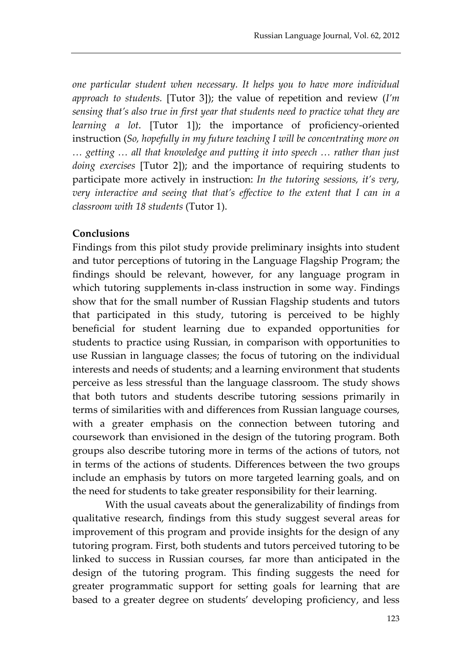*one particular student when necessary. It helps you to have more individual approach to students.* [Tutor 3]); the value of repetition and review (*I'm sensing that's also true in first year that students need to practice what they are learning a lot*. [Tutor 1]); the importance of proficiency-oriented instruction (*So, hopefully in my future teaching I will be concentrating more on … getting … all that knowledge and putting it into speech … rather than just doing exercises* [Tutor 2]); and the importance of requiring students to participate more actively in instruction: *In the tutoring sessions, it's very, very interactive and seeing that that's effective to the extent that I can in a classroom with 18 students* (Tutor 1).

#### **Conclusions**

Findings from this pilot study provide preliminary insights into student and tutor perceptions of tutoring in the Language Flagship Program; the findings should be relevant, however, for any language program in which tutoring supplements in-class instruction in some way. Findings show that for the small number of Russian Flagship students and tutors that participated in this study, tutoring is perceived to be highly beneficial for student learning due to expanded opportunities for students to practice using Russian, in comparison with opportunities to use Russian in language classes; the focus of tutoring on the individual interests and needs of students; and a learning environment that students perceive as less stressful than the language classroom. The study shows that both tutors and students describe tutoring sessions primarily in terms of similarities with and differences from Russian language courses, with a greater emphasis on the connection between tutoring and coursework than envisioned in the design of the tutoring program. Both groups also describe tutoring more in terms of the actions of tutors, not in terms of the actions of students. Differences between the two groups include an emphasis by tutors on more targeted learning goals, and on the need for students to take greater responsibility for their learning.

With the usual caveats about the generalizability of findings from qualitative research, findings from this study suggest several areas for improvement of this program and provide insights for the design of any tutoring program. First, both students and tutors perceived tutoring to be linked to success in Russian courses, far more than anticipated in the design of the tutoring program. This finding suggests the need for greater programmatic support for setting goals for learning that are based to a greater degree on students' developing proficiency, and less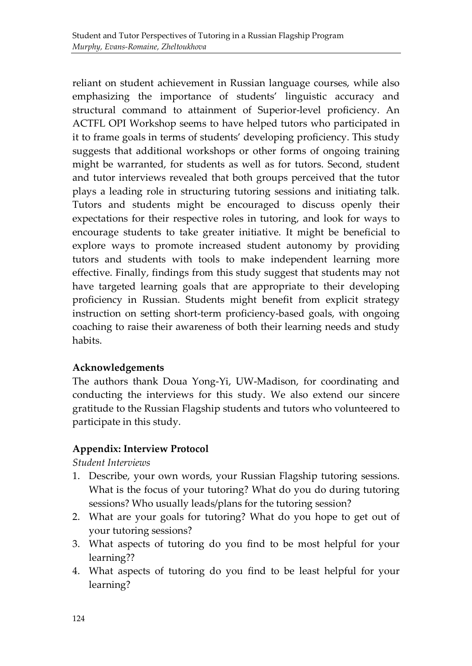reliant on student achievement in Russian language courses, while also emphasizing the importance of students' linguistic accuracy and structural command to attainment of Superior-level proficiency. An ACTFL OPI Workshop seems to have helped tutors who participated in it to frame goals in terms of students' developing proficiency. This study suggests that additional workshops or other forms of ongoing training might be warranted, for students as well as for tutors. Second, student and tutor interviews revealed that both groups perceived that the tutor plays a leading role in structuring tutoring sessions and initiating talk. Tutors and students might be encouraged to discuss openly their expectations for their respective roles in tutoring, and look for ways to encourage students to take greater initiative. It might be beneficial to explore ways to promote increased student autonomy by providing tutors and students with tools to make independent learning more effective. Finally, findings from this study suggest that students may not have targeted learning goals that are appropriate to their developing proficiency in Russian. Students might benefit from explicit strategy instruction on setting short-term proficiency-based goals, with ongoing coaching to raise their awareness of both their learning needs and study habits.

## **Acknowledgements**

The authors thank Doua Yong-Yi, UW-Madison, for coordinating and conducting the interviews for this study. We also extend our sincere gratitude to the Russian Flagship students and tutors who volunteered to participate in this study.

# **Appendix: Interview Protocol**

*Student Interviews*

- 1. Describe, your own words, your Russian Flagship tutoring sessions. What is the focus of your tutoring? What do you do during tutoring sessions? Who usually leads/plans for the tutoring session?
- 2. What are your goals for tutoring? What do you hope to get out of your tutoring sessions?
- 3. What aspects of tutoring do you find to be most helpful for your learning??
- 4. What aspects of tutoring do you find to be least helpful for your learning?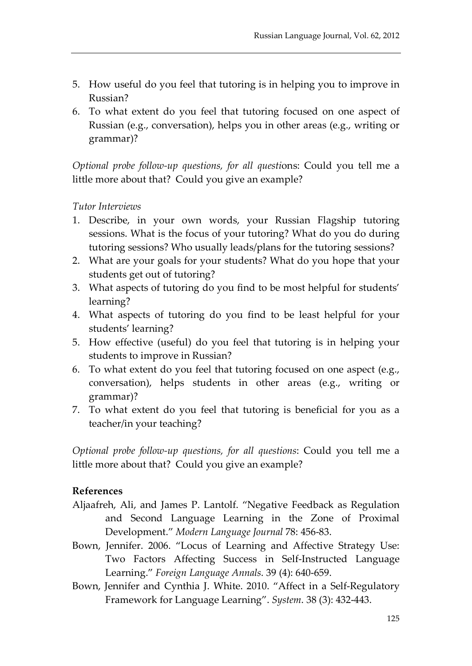- 5. How useful do you feel that tutoring is in helping you to improve in Russian?
- 6. To what extent do you feel that tutoring focused on one aspect of Russian (e.g., conversation), helps you in other areas (e.g., writing or grammar)?

*Optional probe follow-up questions, for all questi*ons: Could you tell me a little more about that? Could you give an example?

#### *Tutor Interviews*

- 1. Describe, in your own words, your Russian Flagship tutoring sessions. What is the focus of your tutoring? What do you do during tutoring sessions? Who usually leads/plans for the tutoring sessions?
- 2. What are your goals for your students? What do you hope that your students get out of tutoring?
- 3. What aspects of tutoring do you find to be most helpful for students' learning?
- 4. What aspects of tutoring do you find to be least helpful for your students' learning?
- 5. How effective (useful) do you feel that tutoring is in helping your students to improve in Russian?
- 6. To what extent do you feel that tutoring focused on one aspect (e.g., conversation), helps students in other areas (e.g., writing or grammar)?
- 7. To what extent do you feel that tutoring is beneficial for you as a teacher/in your teaching?

*Optional probe follow-up questions, for all questions*: Could you tell me a little more about that? Could you give an example?

#### **References**

- Aljaafreh, Ali, and James P. Lantolf. "Negative Feedback as Regulation and Second Language Learning in the Zone of Proximal Development." *Modern Language Journal* 78: 456-83.
- Bown, Jennifer. 2006. "Locus of Learning and Affective Strategy Use: Two Factors Affecting Success in Self-Instructed Language Learning." *Foreign Language Annals*. 39 (4): 640-659.
- Bown, Jennifer and Cynthia J. White. 2010. "Affect in a Self-Regulatory Framework for Language Learning". *System*. 38 (3): 432-443.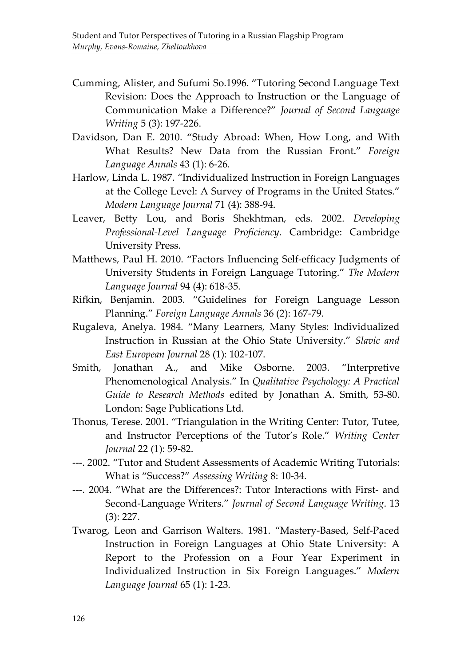- Cumming, Alister, and Sufumi So.1996. "Tutoring Second Language Text Revision: Does the Approach to Instruction or the Language of Communication Make a Difference?" *Journal of Second Language Writing* 5 (3): 197-226.
- Davidson, Dan E. 2010. "Study Abroad: When, How Long, and With What Results? New Data from the Russian Front." *Foreign Language Annals* 43 (1): 6-26.
- Harlow, Linda L. 1987. "Individualized Instruction in Foreign Languages at the College Level: A Survey of Programs in the United States." *Modern Language Journal* 71 (4): 388-94.
- Leaver, Betty Lou, and Boris Shekhtman, eds. 2002. *Developing Professional-Level Language Proficiency*. Cambridge: Cambridge University Press.
- Matthews, Paul H. 2010. "Factors Influencing Self-efficacy Judgments of University Students in Foreign Language Tutoring." *The Modern Language Journal* 94 (4): 618-35.
- Rifkin, Benjamin. 2003. "Guidelines for Foreign Language Lesson Planning." *Foreign Language Annals* 36 (2): 167-79.
- Rugaleva, Anelya. 1984. "Many Learners, Many Styles: Individualized Instruction in Russian at the Ohio State University." *Slavic and East European Journal* 28 (1): 102-107.
- Smith, Jonathan A., and Mike Osborne. 2003. "Interpretive Phenomenological Analysis." In *Qualitative Psychology: A Practical Guide to Research Methods* edited by Jonathan A. Smith, 53-80. London: Sage Publications Ltd.
- Thonus, Terese. 2001. "Triangulation in the Writing Center: Tutor, Tutee, and Instructor Perceptions of the Tutor's Role." *Writing Center Journal* 22 (1): 59-82.
- ---. 2002. "Tutor and Student Assessments of Academic Writing Tutorials: What is "Success?" *Assessing Writing* 8: 10-34.
- ---. 2004. "What are the Differences?: Tutor Interactions with First- and Second-Language Writers." *Journal of Second Language Writing*. 13 (3): 227.
- Twarog, Leon and Garrison Walters. 1981. "Mastery-Based, Self-Paced Instruction in Foreign Languages at Ohio State University: A Report to the Profession on a Four Year Experiment in Individualized Instruction in Six Foreign Languages." *Modern Language Journal* 65 (1): 1-23.